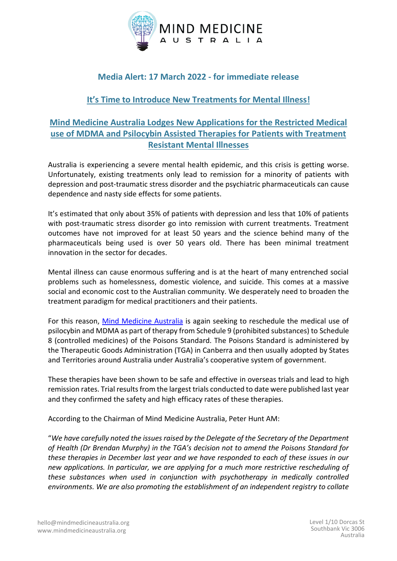

# **Media Alert: 17 March 2022 - for immediate release**

### **It's Time to Introduce New Treatments for Mental Illness!**

## **Mind Medicine Australia Lodges New Applications for the Restricted Medical use of MDMA and Psilocybin Assisted Therapies for Patients with Treatment Resistant Mental Illnesses**

Australia is experiencing a severe mental health epidemic, and this crisis is getting worse. Unfortunately, existing treatments only lead to remission for a minority of patients with depression and post-traumatic stress disorder and the psychiatric pharmaceuticals can cause dependence and nasty side effects for some patients.

It's estimated that only about 35% of patients with depression and less that 10% of patients with post-traumatic stress disorder go into remission with current treatments. Treatment outcomes have not improved for at least 50 years and the science behind many of the pharmaceuticals being used is over 50 years old. There has been minimal treatment innovation in the sector for decades.

Mental illness can cause enormous suffering and is at the heart of many entrenched social problems such as homelessness, domestic violence, and suicide. This comes at a massive social and economic cost to the Australian community. We desperately need to broaden the treatment paradigm for medical practitioners and their patients.

For this reason, [Mind Medicine Australia](http://www.mindmedicineaustralia.org/) is again seeking to reschedule the medical use of psilocybin and MDMA as part of therapy from Schedule 9 (prohibited substances) to Schedule 8 (controlled medicines) of the Poisons Standard. The Poisons Standard is administered by the Therapeutic Goods Administration (TGA) in Canberra and then usually adopted by States and Territories around Australia under Australia's cooperative system of government.

These therapies have been shown to be safe and effective in overseas trials and lead to high remission rates. Trial results from the largest trials conducted to date were published last year and they confirmed the safety and high efficacy rates of these therapies.

According to the Chairman of Mind Medicine Australia, Peter Hunt AM:

"*We have carefully noted the issues raised by the Delegate of the Secretary of the Department of Health (Dr Brendan Murphy) in the TGA's decision not to amend the Poisons Standard for these therapies in December last year and we have responded to each of these issues in our new applications. In particular, we are applying for a much more restrictive rescheduling of these substances when used in conjunction with psychotherapy in medically controlled environments. We are also promoting the establishment of an independent registry to collate*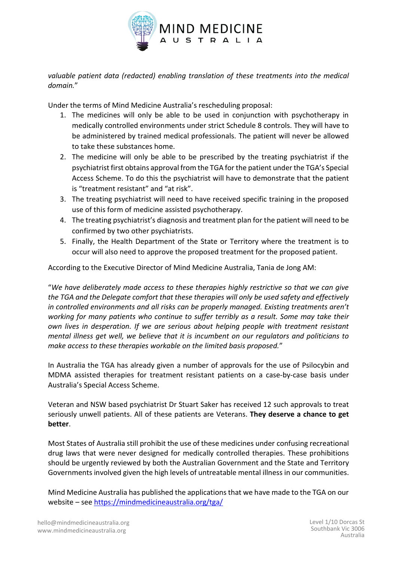

*valuable patient data (redacted) enabling translation of these treatments into the medical domain.*"

Under the terms of Mind Medicine Australia's rescheduling proposal:

- 1. The medicines will only be able to be used in conjunction with psychotherapy in medically controlled environments under strict Schedule 8 controls. They will have to be administered by trained medical professionals. The patient will never be allowed to take these substances home.
- 2. The medicine will only be able to be prescribed by the treating psychiatrist if the psychiatrist first obtains approval from the TGA for the patient under the TGA's Special Access Scheme. To do this the psychiatrist will have to demonstrate that the patient is "treatment resistant" and "at risk".
- 3. The treating psychiatrist will need to have received specific training in the proposed use of this form of medicine assisted psychotherapy.
- 4. The treating psychiatrist's diagnosis and treatment plan for the patient will need to be confirmed by two other psychiatrists.
- 5. Finally, the Health Department of the State or Territory where the treatment is to occur will also need to approve the proposed treatment for the proposed patient.

According to the Executive Director of Mind Medicine Australia, Tania de Jong AM:

"*We have deliberately made access to these therapies highly restrictive so that we can give the TGA and the Delegate comfort that these therapies will only be used safety and effectively in controlled environments and all risks can be properly managed. Existing treatments aren't working for many patients who continue to suffer terribly as a result. Some may take their own lives in desperation. If we are serious about helping people with treatment resistant mental illness get well, we believe that it is incumbent on our regulators and politicians to make access to these therapies workable on the limited basis proposed.*"

In Australia the TGA has already given a number of approvals for the use of Psilocybin and MDMA assisted therapies for treatment resistant patients on a case-by-case basis under Australia's Special Access Scheme.

Veteran and NSW based psychiatrist Dr Stuart Saker has received 12 such approvals to treat seriously unwell patients. All of these patients are Veterans. **They deserve a chance to get better**.

Most States of Australia still prohibit the use of these medicines under confusing recreational drug laws that were never designed for medically controlled therapies. These prohibitions should be urgently reviewed by both the Australian Government and the State and Territory Governments involved given the high levels of untreatable mental illness in our communities.

Mind Medicine Australia has published the applications that we have made to the TGA on our website – see <https://mindmedicineaustralia.org/tga/>